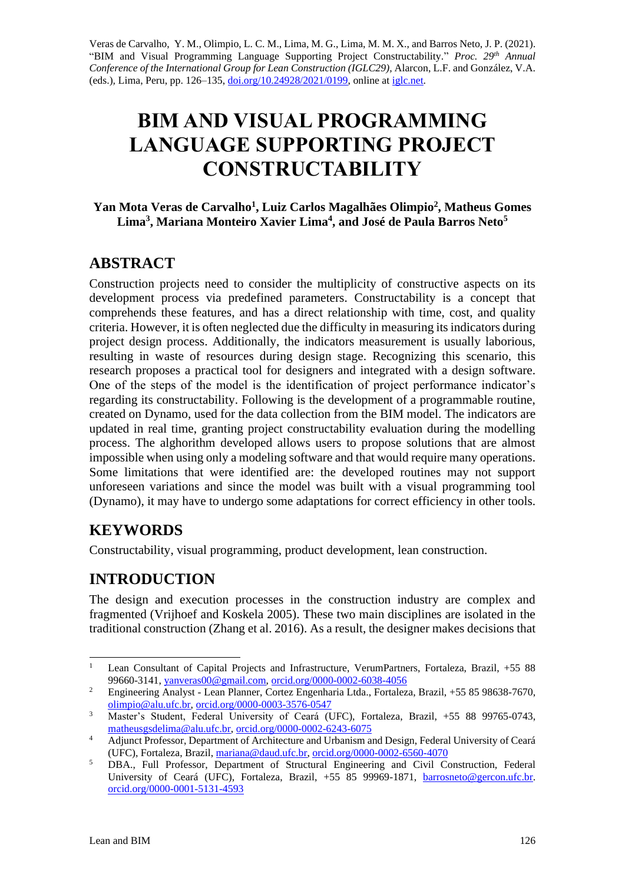Veras de Carvalho, Y. M., Olimpio, L. C. M., Lima, M. G., Lima, M. M. X., and Barros Neto, J. P. (2021). "BIM and Visual Programming Language Supporting Project Constructability." *Proc. 29 th Annual Conference of the International Group for Lean Construction (IGLC29),* Alarcon, L.F. and González, V.A. (eds.)*,* Lima, Peru, pp. 126–135, [doi.org/10.24928/2021/0199,](https://doi.org/10.24928/2021/0199) online a[t iglc.net.](http://iglc.net/)

# **BIM AND VISUAL PROGRAMMING LANGUAGE SUPPORTING PROJECT CONSTRUCTABILITY**

#### **Yan Mota Veras de Carvalho<sup>1</sup> , Luiz Carlos Magalhães Olimpio<sup>2</sup> , Matheus Gomes Lima<sup>3</sup> , Mariana Monteiro Xavier Lima<sup>4</sup> , and José de Paula Barros Neto<sup>5</sup>**

# **ABSTRACT**

Construction projects need to consider the multiplicity of constructive aspects on its development process via predefined parameters. Constructability is a concept that comprehends these features, and has a direct relationship with time, cost, and quality criteria. However, it is often neglected due the difficulty in measuring its indicators during project design process. Additionally, the indicators measurement is usually laborious, resulting in waste of resources during design stage. Recognizing this scenario, this research proposes a practical tool for designers and integrated with a design software. One of the steps of the model is the identification of project performance indicator's regarding its constructability. Following is the development of a programmable routine, created on Dynamo, used for the data collection from the BIM model. The indicators are updated in real time, granting project constructability evaluation during the modelling process. The alghorithm developed allows users to propose solutions that are almost impossible when using only a modeling software and that would require many operations. Some limitations that were identified are: the developed routines may not support unforeseen variations and since the model was built with a visual programming tool (Dynamo), it may have to undergo some adaptations for correct efficiency in other tools.

# **KEYWORDS**

Constructability, visual programming, product development, lean construction.

# **INTRODUCTION**

The design and execution processes in the construction industry are complex and fragmented (Vrijhoef and Koskela 2005). These two main disciplines are isolated in the traditional construction (Zhang et al. 2016). As a result, the designer makes decisions that

<sup>&</sup>lt;sup>1</sup> Lean Consultant of Capital Projects and Infrastructure, VerumPartners, Fortaleza, Brazil, +55 88 99660-3141, [yanveras00@gmail.com,](mailto:yanveras00@gmail.com) [orcid.org/0000-0002-6038-4056](https://orcid.org/0000-0002-6038-4056)

<sup>&</sup>lt;sup>2</sup> Engineering Analyst - Lean Planner, Cortez Engenharia Ltda., Fortaleza, Brazil, +55 85 98638-7670, [olimpio@alu.ufc.br,](mailto:olimpio@alu.ufc.br) [orcid.org/0000-0003-3576-0547](https://orcid.org/0000-0003-3576-0547)

<sup>3</sup> Master's Student, Federal University of Ceará (UFC), Fortaleza, Brazil, +55 88 99765-0743, [matheusgsdelima@alu.ufc.br,](mailto:matheusgsdelima@alu.ufc.br) [orcid.org/0000-0002-6243-6075](https://orcid.org/0000-0002-6243-6075)

<sup>&</sup>lt;sup>4</sup> Adjunct Professor, Department of Architecture and Urbanism and Design, Federal University of Ceará (UFC), Fortaleza, Brazil[, mariana@daud.ufc.br,](mailto:mariana@daud.ufc.br) [orcid.org/0000-0002-6560-4070](https://orcid.org/0000-0002-6560-4070)

<sup>&</sup>lt;sup>5</sup> DBA., Full Professor, Department of Structural Engineering and Civil Construction, Federal University of Ceará (UFC), Fortaleza, Brazil, +55 85 99969-1871, [barrosneto@gercon.ufc.br.](mailto:barrosneto@gercon.ufc.br) [orcid.org/0000-0001-5131-4593](https://orcid.org/0000-0001-5131-4593)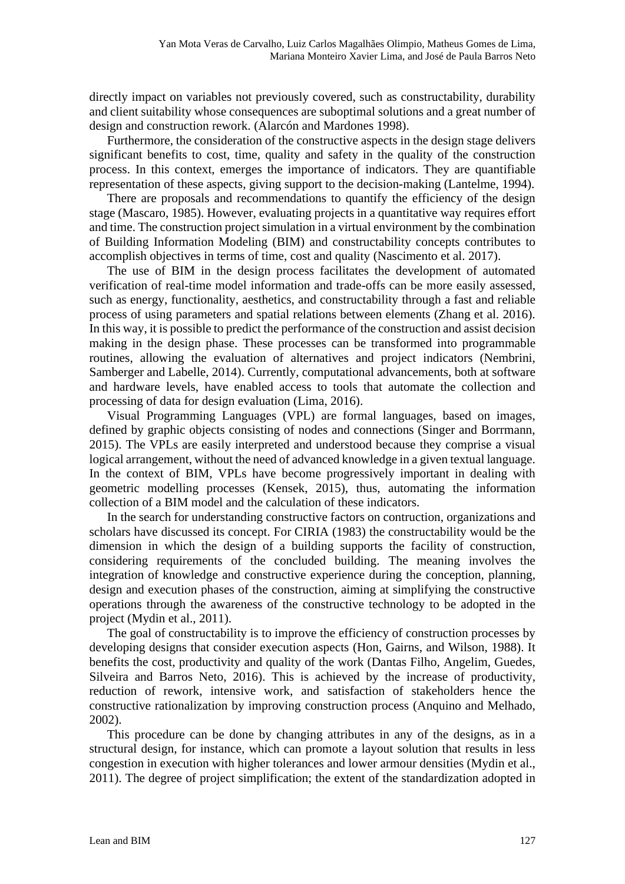directly impact on variables not previously covered, such as constructability, durability and client suitability whose consequences are suboptimal solutions and a great number of design and construction rework. (Alarcón and Mardones 1998).

Furthermore, the consideration of the constructive aspects in the design stage delivers significant benefits to cost, time, quality and safety in the quality of the construction process. In this context, emerges the importance of indicators. They are quantifiable representation of these aspects, giving support to the decision-making (Lantelme, 1994).

There are proposals and recommendations to quantify the efficiency of the design stage (Mascaro, 1985). However, evaluating projects in a quantitative way requires effort and time. The construction project simulation in a virtual environment by the combination of Building Information Modeling (BIM) and constructability concepts contributes to accomplish objectives in terms of time, cost and quality (Nascimento et al. 2017).

The use of BIM in the design process facilitates the development of automated verification of real-time model information and trade-offs can be more easily assessed, such as energy, functionality, aesthetics, and constructability through a fast and reliable process of using parameters and spatial relations between elements (Zhang et al. 2016). In this way, it is possible to predict the performance of the construction and assist decision making in the design phase. These processes can be transformed into programmable routines, allowing the evaluation of alternatives and project indicators (Nembrini, Samberger and Labelle, 2014). Currently, computational advancements, both at software and hardware levels, have enabled access to tools that automate the collection and processing of data for design evaluation (Lima, 2016).

Visual Programming Languages (VPL) are formal languages, based on images, defined by graphic objects consisting of nodes and connections (Singer and Borrmann, 2015). The VPLs are easily interpreted and understood because they comprise a visual logical arrangement, without the need of advanced knowledge in a given textual language. In the context of BIM, VPLs have become progressively important in dealing with geometric modelling processes (Kensek, 2015), thus, automating the information collection of a BIM model and the calculation of these indicators.

In the search for understanding constructive factors on contruction, organizations and scholars have discussed its concept. For CIRIA (1983) the constructability would be the dimension in which the design of a building supports the facility of construction, considering requirements of the concluded building. The meaning involves the integration of knowledge and constructive experience during the conception, planning, design and execution phases of the construction, aiming at simplifying the constructive operations through the awareness of the constructive technology to be adopted in the project (Mydin et al., 2011).

The goal of constructability is to improve the efficiency of construction processes by developing designs that consider execution aspects (Hon, Gairns, and Wilson, 1988). It benefits the cost, productivity and quality of the work (Dantas Filho, Angelim, Guedes, Silveira and Barros Neto, 2016). This is achieved by the increase of productivity, reduction of rework, intensive work, and satisfaction of stakeholders hence the constructive rationalization by improving construction process (Anquino and Melhado, 2002).

This procedure can be done by changing attributes in any of the designs, as in a structural design, for instance, which can promote a layout solution that results in less congestion in execution with higher tolerances and lower armour densities (Mydin et al., 2011). The degree of project simplification; the extent of the standardization adopted in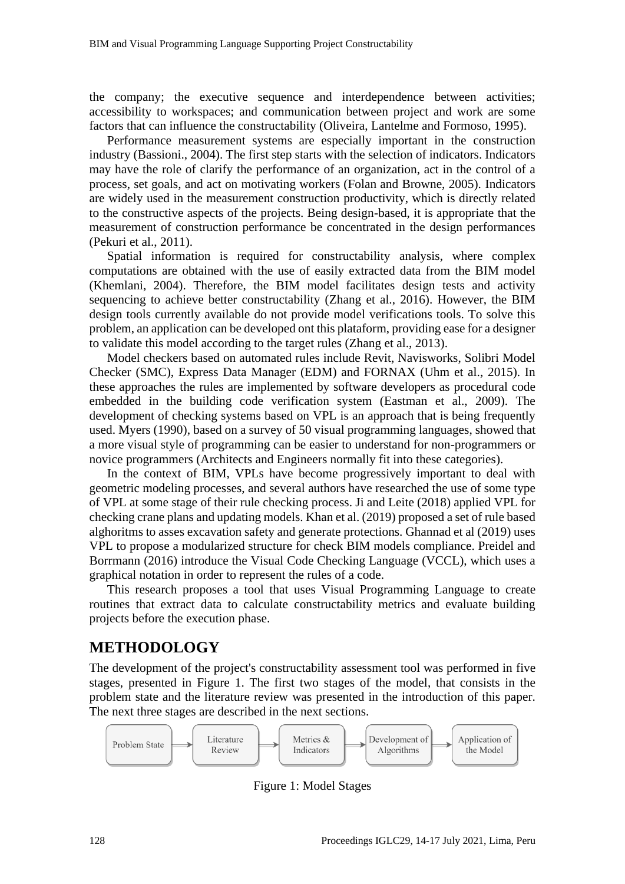the company; the executive sequence and interdependence between activities; accessibility to workspaces; and communication between project and work are some factors that can influence the constructability (Oliveira, Lantelme and Formoso, 1995).

Performance measurement systems are especially important in the construction industry (Bassioni., 2004). The first step starts with the selection of indicators. Indicators may have the role of clarify the performance of an organization, act in the control of a process, set goals, and act on motivating workers (Folan and Browne, 2005). Indicators are widely used in the measurement construction productivity, which is directly related to the constructive aspects of the projects. Being design-based, it is appropriate that the measurement of construction performance be concentrated in the design performances (Pekuri et al., 2011).

Spatial information is required for constructability analysis, where complex computations are obtained with the use of easily extracted data from the BIM model (Khemlani, 2004). Therefore, the BIM model facilitates design tests and activity sequencing to achieve better constructability (Zhang et al., 2016). However, the BIM design tools currently available do not provide model verifications tools. To solve this problem, an application can be developed ont this plataform, providing ease for a designer to validate this model according to the target rules (Zhang et al., 2013).

Model checkers based on automated rules include Revit, Navisworks, Solibri Model Checker (SMC), Express Data Manager (EDM) and FORNAX (Uhm et al., 2015). In these approaches the rules are implemented by software developers as procedural code embedded in the building code verification system (Eastman et al., 2009). The development of checking systems based on VPL is an approach that is being frequently used. Myers (1990), based on a survey of 50 visual programming languages, showed that a more visual style of programming can be easier to understand for non-programmers or novice programmers (Architects and Engineers normally fit into these categories).

In the context of BIM, VPLs have become progressively important to deal with geometric modeling processes, and several authors have researched the use of some type of VPL at some stage of their rule checking process. Ji and Leite (2018) applied VPL for checking crane plans and updating models. Khan et al. (2019) proposed a set of rule based alghoritms to asses excavation safety and generate protections. Ghannad et al (2019) uses VPL to propose a modularized structure for check BIM models compliance. Preidel and Borrmann (2016) introduce the Visual Code Checking Language (VCCL), which uses a graphical notation in order to represent the rules of a code.

This research proposes a tool that uses Visual Programming Language to create routines that extract data to calculate constructability metrics and evaluate building projects before the execution phase.

# **METHODOLOGY**

The development of the project's constructability assessment tool was performed in five stages, presented in Figure 1. The first two stages of the model, that consists in the problem state and the literature review was presented in the introduction of this paper. The next three stages are described in the next sections.



Figure 1: Model Stages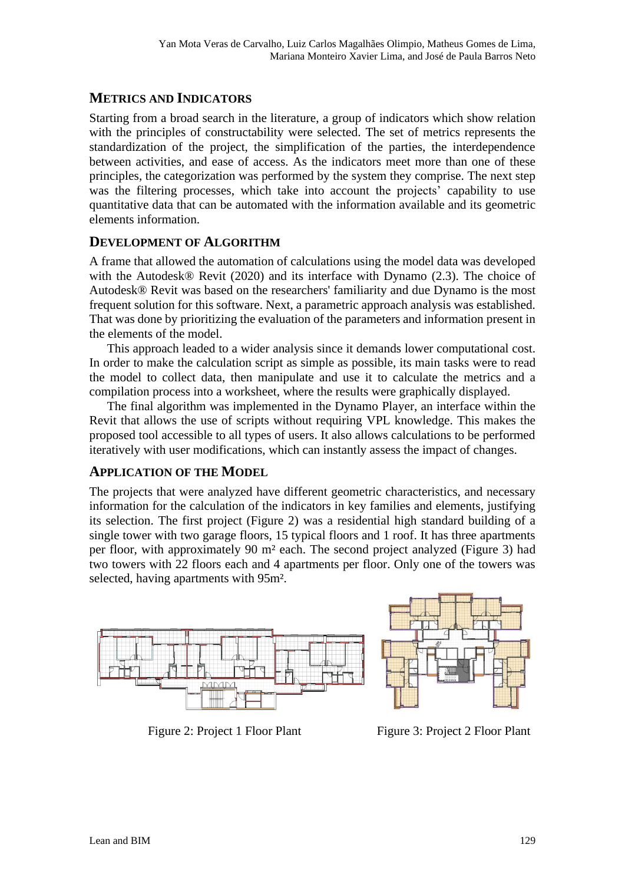## **METRICS AND INDICATORS**

Starting from a broad search in the literature, a group of indicators which show relation with the principles of constructability were selected. The set of metrics represents the standardization of the project, the simplification of the parties, the interdependence between activities, and ease of access. As the indicators meet more than one of these principles, the categorization was performed by the system they comprise. The next step was the filtering processes, which take into account the projects' capability to use quantitative data that can be automated with the information available and its geometric elements information.

#### **DEVELOPMENT OF ALGORITHM**

A frame that allowed the automation of calculations using the model data was developed with the Autodesk® Revit (2020) and its interface with Dynamo (2.3). The choice of Autodesk® Revit was based on the researchers' familiarity and due Dynamo is the most frequent solution for this software. Next, a parametric approach analysis was established. That was done by prioritizing the evaluation of the parameters and information present in the elements of the model.

This approach leaded to a wider analysis since it demands lower computational cost. In order to make the calculation script as simple as possible, its main tasks were to read the model to collect data, then manipulate and use it to calculate the metrics and a compilation process into a worksheet, where the results were graphically displayed.

The final algorithm was implemented in the Dynamo Player, an interface within the Revit that allows the use of scripts without requiring VPL knowledge. This makes the proposed tool accessible to all types of users. It also allows calculations to be performed iteratively with user modifications, which can instantly assess the impact of changes.

### **APPLICATION OF THE MODEL**

The projects that were analyzed have different geometric characteristics, and necessary information for the calculation of the indicators in key families and elements, justifying its selection. The first project (Figure 2) was a residential high standard building of a single tower with two garage floors, 15 typical floors and 1 roof. It has three apartments per floor, with approximately 90 m² each. The second project analyzed (Figure 3) had two towers with 22 floors each and 4 apartments per floor. Only one of the towers was selected, having apartments with 95m².



Figure 2: Project 1 Floor Plant Figure 3: Project 2 Floor Plant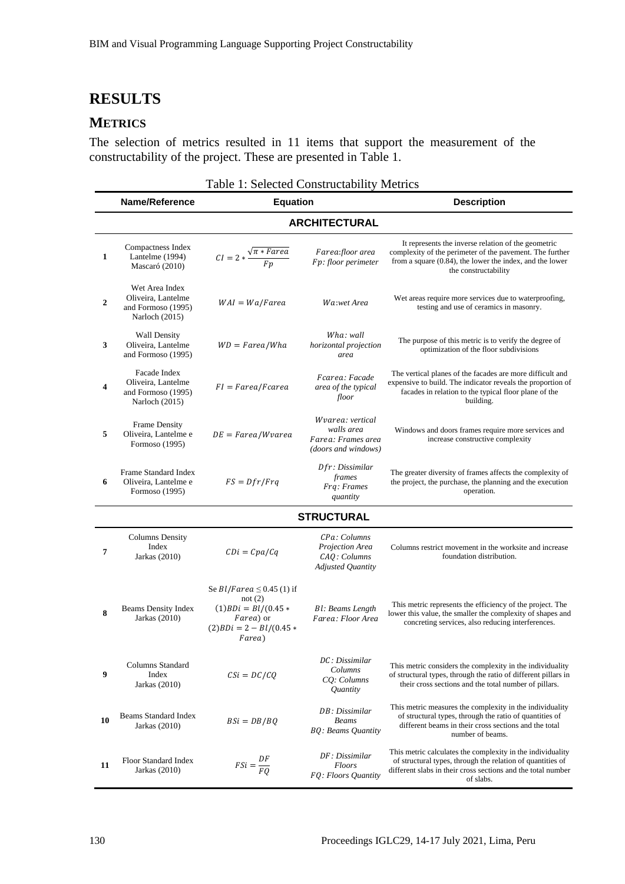# **RESULTS**

## **METRICS**

The selection of metrics resulted in 11 items that support the measurement of the constructability of the project. These are presented in Table 1.

Table 1: Selected Constructability Metrics

|                      | Name/Reference<br><b>Equation</b>                                            |                                                                                                                          |                                                                             | <b>Description</b>                                                                                                                                                                                    |  |  |  |  |  |  |  |
|----------------------|------------------------------------------------------------------------------|--------------------------------------------------------------------------------------------------------------------------|-----------------------------------------------------------------------------|-------------------------------------------------------------------------------------------------------------------------------------------------------------------------------------------------------|--|--|--|--|--|--|--|
| <b>ARCHITECTURAL</b> |                                                                              |                                                                                                                          |                                                                             |                                                                                                                                                                                                       |  |  |  |  |  |  |  |
| 1                    | Compactness Index<br>Lantelme (1994)<br>Mascaró (2010)                       | $CI = 2 * \frac{\sqrt{\pi * \text{Farea}}}{Fp}$                                                                          | Farea:floor area<br>Fp: floor perimeter                                     | It represents the inverse relation of the geometric<br>complexity of the perimeter of the pavement. The further<br>from a square (0.84), the lower the index, and the lower<br>the constructability   |  |  |  |  |  |  |  |
| $\boldsymbol{2}$     | Wet Area Index<br>Oliveira, Lantelme<br>and Formoso (1995)<br>Narloch (2015) | $WAI = Wa/Farea$                                                                                                         | Wa:wet Area                                                                 | Wet areas require more services due to waterproofing,<br>testing and use of ceramics in masonry.                                                                                                      |  |  |  |  |  |  |  |
| 3                    | <b>Wall Density</b><br>Oliveira, Lantelme<br>and Formoso (1995)              | $WD = Farea/Wha$                                                                                                         | Wha: wall<br>horizontal projection<br>area                                  | The purpose of this metric is to verify the degree of<br>optimization of the floor subdivisions                                                                                                       |  |  |  |  |  |  |  |
| 4                    | Facade Index<br>Oliveira, Lantelme<br>and Formoso (1995)<br>Narloch (2015)   | $FI = Farea/Fcarea$                                                                                                      | Fcarea: Facade<br>area of the typical<br>floor                              | The vertical planes of the facades are more difficult and<br>expensive to build. The indicator reveals the proportion of<br>facades in relation to the typical floor plane of the<br>building.        |  |  |  |  |  |  |  |
| 5                    | <b>Frame Density</b><br>Oliveira, Lantelme e<br>Formoso (1995)               | $DE = Farea/Wvarea$                                                                                                      | Wvarea: vertical<br>walls area<br>Farea: Frames area<br>(doors and windows) | Windows and doors frames require more services and<br>increase constructive complexity                                                                                                                |  |  |  |  |  |  |  |
| 6                    | Frame Standard Index<br>Oliveira, Lantelme e<br>Formoso (1995)               | $FS = Dfr/Frq$                                                                                                           | Dfr: Dissimilar<br>frames<br>Frq: Frames<br>quantity                        | The greater diversity of frames affects the complexity of<br>the project, the purchase, the planning and the execution<br>operation.                                                                  |  |  |  |  |  |  |  |
| <b>STRUCTURAL</b>    |                                                                              |                                                                                                                          |                                                                             |                                                                                                                                                                                                       |  |  |  |  |  |  |  |
| 7                    | <b>Columns Density</b><br>Index<br>Jarkas (2010)                             | $CDi = Cpa/Cq$                                                                                                           | CPa: Columns<br>Projection Area<br>CAQ: Columns<br><b>Adjusted Quantity</b> | Columns restrict movement in the worksite and increase<br>foundation distribution.                                                                                                                    |  |  |  |  |  |  |  |
| 8                    | <b>Beams Density Index</b><br>Jarkas (2010)                                  | Se $Bl/Farea \leq 0.45$ (1) if<br>not $(2)$<br>$(1)BDi = Bl/(0.45*)$<br>Farea) or<br>$(2)BDi = 2 - Bl/(0.45*)$<br>Farea) | Bl: Beams Length<br>Farea: Floor Area                                       | This metric represents the efficiency of the project. The<br>lower this value, the smaller the complexity of shapes and<br>concreting services, also reducing interferences.                          |  |  |  |  |  |  |  |
| 9                    | Columns Standard<br>Index<br>Jarkas (2010)                                   | $CSi = DC/CQ$                                                                                                            | DC: Dissimilar<br>Columns<br>CQ: Columns<br>Quantity                        | This metric considers the complexity in the individuality<br>of structural types, through the ratio of different pillars in<br>their cross sections and the total number of pillars.                  |  |  |  |  |  |  |  |
| 10                   | <b>Beams Standard Index</b><br>Jarkas (2010)                                 | $BSi = DB/BO$                                                                                                            | DB: Dissimilar<br><b>Beams</b><br>BQ: Beams Quantity                        | This metric measures the complexity in the individuality<br>of structural types, through the ratio of quantities of<br>different beams in their cross sections and the total<br>number of beams.      |  |  |  |  |  |  |  |
| 11                   | Floor Standard Index<br>Jarkas (2010)                                        | $FSi = \frac{DF}{FO}$                                                                                                    | DF: Dissimilar<br><b>Floors</b><br>FQ: Floors Quantity                      | This metric calculates the complexity in the individuality<br>of structural types, through the relation of quantities of<br>different slabs in their cross sections and the total number<br>of slabs. |  |  |  |  |  |  |  |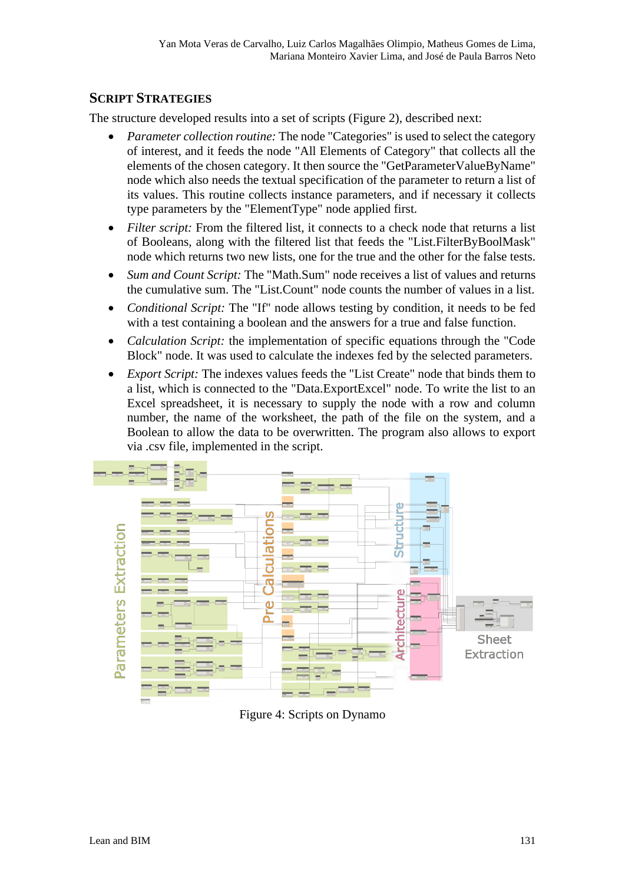## **SCRIPT STRATEGIES**

The structure developed results into a set of scripts (Figure 2), described next:

- *Parameter collection routine:* The node "Categories" is used to select the category of interest, and it feeds the node "All Elements of Category" that collects all the elements of the chosen category. It then source the "GetParameterValueByName" node which also needs the textual specification of the parameter to return a list of its values. This routine collects instance parameters, and if necessary it collects type parameters by the "ElementType" node applied first.
- *Filter script:* From the filtered list, it connects to a check node that returns a list of Booleans, along with the filtered list that feeds the "List.FilterByBoolMask" node which returns two new lists, one for the true and the other for the false tests.
- *Sum and Count Script:* The "Math.Sum" node receives a list of values and returns the cumulative sum. The "List.Count" node counts the number of values in a list.
- *Conditional Script:* The "If" node allows testing by condition, it needs to be fed with a test containing a boolean and the answers for a true and false function.
- *Calculation Script:* the implementation of specific equations through the "Code Block" node. It was used to calculate the indexes fed by the selected parameters.
- *Export Script:* The indexes values feeds the "List Create" node that binds them to a list, which is connected to the "Data.ExportExcel" node. To write the list to an Excel spreadsheet, it is necessary to supply the node with a row and column number, the name of the worksheet, the path of the file on the system, and a Boolean to allow the data to be overwritten. The program also allows to export via .csv file, implemented in the script.



Figure 4: Scripts on Dynamo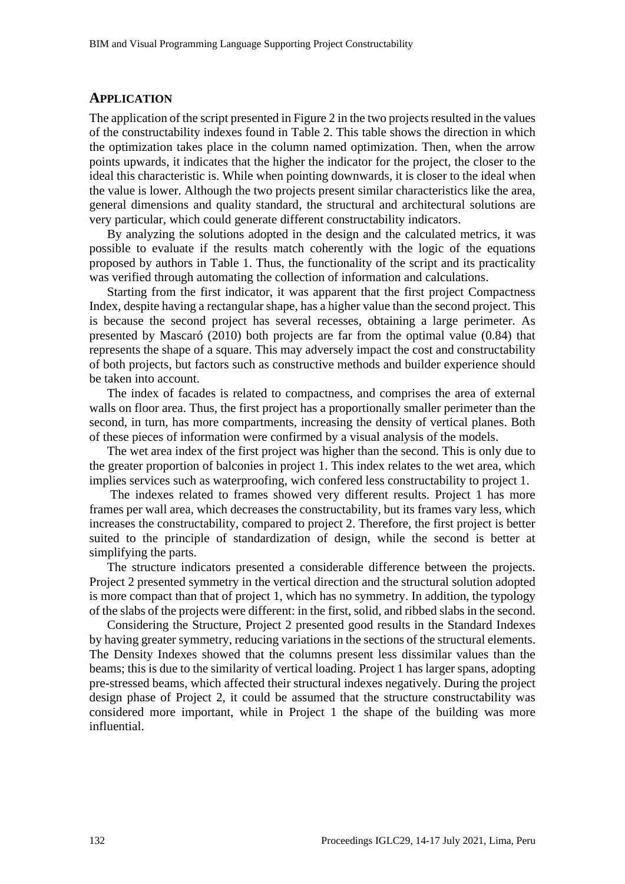#### **APPLICATION**

The application of the script presented in Figure 2 in the two projects resulted in the values of the constructability indexes found in Table 2. This table shows the direction in which the optimization takes place in the column named optimization. Then, when the arrow points upwards, it indicates that the higher the indicator for the project, the closer to the ideal this characteristic is. While when pointing downwards, it is closer to the ideal when the value is lower. Although the two projects present similar characteristics like the area, general dimensions and quality standard, the structural and architectural solutions are very particular, which could generate different constructability indicators.

By analyzing the solutions adopted in the design and the calculated metrics, it was possible to evaluate if the results match coherently with the logic of the equations proposed by authors in Table 1. Thus, the functionality of the script and its practicality was verified through automating the collection of information and calculations.

Starting from the first indicator, it was apparent that the first project Compactness Index, despite having a rectangular shape, has a higher value than the second project. This is because the second project has several recesses, obtaining a large perimeter. As presented by Mascaró (2010) both projects are far from the optimal value (0.84) that represents the shape of a square. This may adversely impact the cost and constructability of both projects, but factors such as constructive methods and builder experience should be taken into account.

The index of facades is related to compactness, and comprises the area of external walls on floor area. Thus, the first project has a proportionally smaller perimeter than the second, in turn, has more compartments, increasing the density of vertical planes. Both of these pieces of information were confirmed by a visual analysis of the models.

The wet area index of the first project was higher than the second. This is only due to the greater proportion of balconies in project 1. This index relates to the wet area, which implies services such as waterproofing, wich confered less constructability to project 1.

The indexes related to frames showed very different results. Project 1 has more frames per wall area, which decreases the constructability, but its frames vary less, which increases the constructability, compared to project 2. Therefore, the first project is better suited to the principle of standardization of design, while the second is better at simplifying the parts.

The structure indicators presented a considerable difference between the projects. Project 2 presented symmetry in the vertical direction and the structural solution adopted is more compact than that of project 1, which has no symmetry. In addition, the typology of the slabs of the projects were different: in the first, solid, and ribbed slabs in the second.

Considering the Structure, Project 2 presented good results in the Standard Indexes by having greater symmetry, reducing variations in the sections of the structural elements. The Density Indexes showed that the columns present less dissimilar values than the beams; this is due to the similarity of vertical loading. Project 1 has larger spans, adopting pre-stressed beams, which affected their structural indexes negatively. During the project design phase of Project 2, it could be assumed that the structure constructability was considered more important, while in Project 1 the shape of the building was more influential.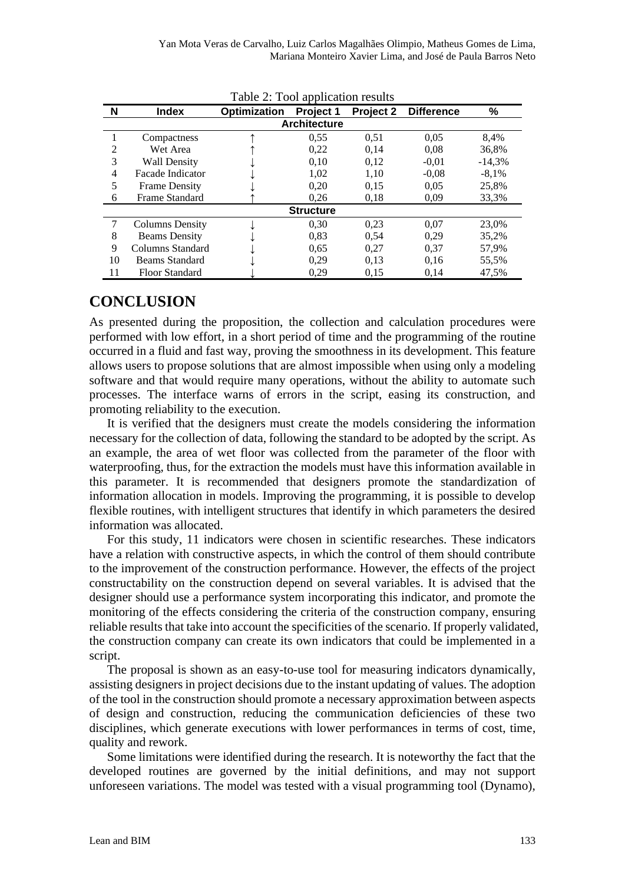| Table 2: Tool application results |                       |                     |           |           |                   |          |  |  |  |  |
|-----------------------------------|-----------------------|---------------------|-----------|-----------|-------------------|----------|--|--|--|--|
| N                                 | <b>Index</b>          | <b>Optimization</b> | Project 1 | Project 2 | <b>Difference</b> | $\%$     |  |  |  |  |
| <b>Architecture</b>               |                       |                     |           |           |                   |          |  |  |  |  |
|                                   | Compactness           |                     | 0,55      | 0,51      | 0,05              | 8,4%     |  |  |  |  |
| 2                                 | Wet Area              |                     | 0,22      | 0,14      | 0.08              | 36,8%    |  |  |  |  |
| 3                                 | <b>Wall Density</b>   |                     | 0.10      | 0,12      | $-0.01$           | $-14.3%$ |  |  |  |  |
| 4                                 | Facade Indicator      |                     | 1,02      | 1,10      | $-0.08$           | $-8.1\%$ |  |  |  |  |
| 5                                 | <b>Frame Density</b>  |                     | 0,20      | 0.15      | 0.05              | 25,8%    |  |  |  |  |
| 6                                 | Frame Standard        |                     | 0,26      | 0,18      | 0.09              | 33,3%    |  |  |  |  |
| <b>Structure</b>                  |                       |                     |           |           |                   |          |  |  |  |  |
|                                   | Columns Density       |                     | 0,30      | 0.23      | 0.07              | 23,0%    |  |  |  |  |
| 8                                 | <b>Beams Density</b>  |                     | 0.83      | 0.54      | 0.29              | 35,2%    |  |  |  |  |
| 9                                 | Columns Standard      |                     | 0.65      | 0,27      | 0,37              | 57,9%    |  |  |  |  |
| 10                                | Beams Standard        |                     | 0.29      | 0.13      | 0.16              | 55,5%    |  |  |  |  |
| 11                                | <b>Floor Standard</b> |                     | 0.29      | 0.15      | 0.14              | 47,5%    |  |  |  |  |

## **CONCLUSION**

As presented during the proposition, the collection and calculation procedures were performed with low effort, in a short period of time and the programming of the routine occurred in a fluid and fast way, proving the smoothness in its development. This feature allows users to propose solutions that are almost impossible when using only a modeling software and that would require many operations, without the ability to automate such processes. The interface warns of errors in the script, easing its construction, and promoting reliability to the execution.

It is verified that the designers must create the models considering the information necessary for the collection of data, following the standard to be adopted by the script. As an example, the area of wet floor was collected from the parameter of the floor with waterproofing, thus, for the extraction the models must have this information available in this parameter. It is recommended that designers promote the standardization of information allocation in models. Improving the programming, it is possible to develop flexible routines, with intelligent structures that identify in which parameters the desired information was allocated.

For this study, 11 indicators were chosen in scientific researches. These indicators have a relation with constructive aspects, in which the control of them should contribute to the improvement of the construction performance. However, the effects of the project constructability on the construction depend on several variables. It is advised that the designer should use a performance system incorporating this indicator, and promote the monitoring of the effects considering the criteria of the construction company, ensuring reliable results that take into account the specificities of the scenario. If properly validated, the construction company can create its own indicators that could be implemented in a script.

The proposal is shown as an easy-to-use tool for measuring indicators dynamically, assisting designers in project decisions due to the instant updating of values. The adoption of the tool in the construction should promote a necessary approximation between aspects of design and construction, reducing the communication deficiencies of these two disciplines, which generate executions with lower performances in terms of cost, time, quality and rework.

Some limitations were identified during the research. It is noteworthy the fact that the developed routines are governed by the initial definitions, and may not support unforeseen variations. The model was tested with a visual programming tool (Dynamo),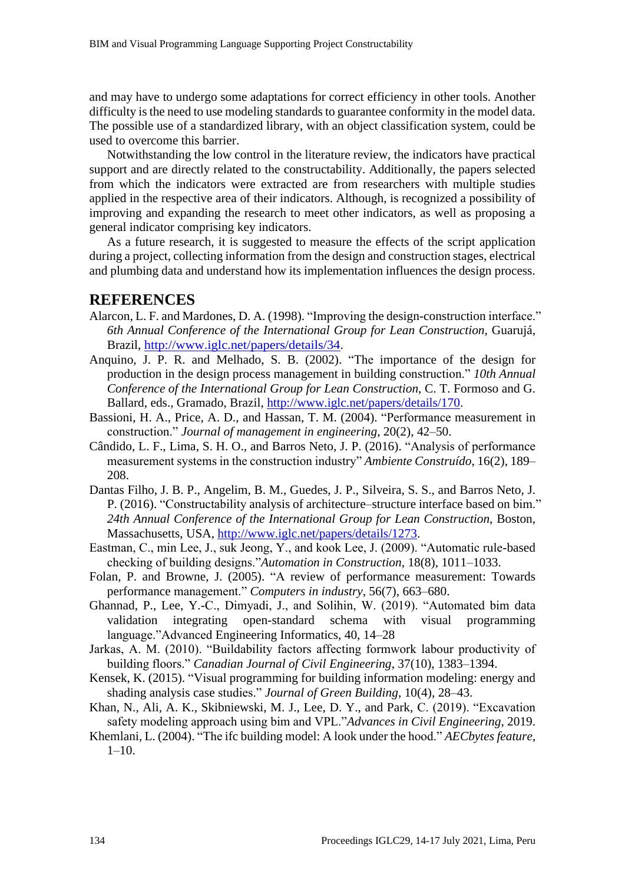and may have to undergo some adaptations for correct efficiency in other tools. Another difficulty is the need to use modeling standards to guarantee conformity in the model data. The possible use of a standardized library, with an object classification system, could be used to overcome this barrier.

Notwithstanding the low control in the literature review, the indicators have practical support and are directly related to the constructability. Additionally, the papers selected from which the indicators were extracted are from researchers with multiple studies applied in the respective area of their indicators. Although, is recognized a possibility of improving and expanding the research to meet other indicators, as well as proposing a general indicator comprising key indicators.

As a future research, it is suggested to measure the effects of the script application during a project, collecting information from the design and construction stages, electrical and plumbing data and understand how its implementation influences the design process.

## **REFERENCES**

- Alarcon, L. F. and Mardones, D. A. (1998). "Improving the design-construction interface." *6th Annual Conference of the International Group for Lean Construction*, Guarujá, Brazil, [http://www.iglc.net/papers/details/34.](http://www.iglc.net/papers/details/34)
- Anquino, J. P. R. and Melhado, S. B. (2002). "The importance of the design for production in the design process management in building construction." *10th Annual Conference of the International Group for Lean Construction*, C. T. Formoso and G. Ballard, eds., Gramado, Brazil, [http://www.iglc.net/papers/details/170.](http://www.iglc.net/papers/details/170)
- Bassioni, H. A., Price, A. D., and Hassan, T. M. (2004). "Performance measurement in construction." *Journal of management in engineering*, 20(2), 42–50.
- Cândido, L. F., Lima, S. H. O., and Barros Neto, J. P. (2016). "Analysis of performance measurement systems in the construction industry" *Ambiente Construído*, 16(2), 189– 208.
- Dantas Filho, J. B. P., Angelim, B. M., Guedes, J. P., Silveira, S. S., and Barros Neto, J. P. (2016). "Constructability analysis of architecture–structure interface based on bim." *24th Annual Conference of the International Group for Lean Construction*, Boston, Massachusetts, USA, [http://www.iglc.net/papers/details/1273.](http://www.iglc.net/papers/details/1273)
- Eastman, C., min Lee, J., suk Jeong, Y., and kook Lee, J. (2009). "Automatic rule-based checking of building designs."*Automation in Construction*, 18(8), 1011–1033.
- Folan, P. and Browne, J. (2005). "A review of performance measurement: Towards performance management." *Computers in industry*, 56(7), 663–680.
- Ghannad, P., Lee, Y.-C., Dimyadi, J., and Solihin, W. (2019). "Automated bim data validation integrating open-standard schema with visual programming language."Advanced Engineering Informatics, 40, 14–28
- Jarkas, A. M. (2010). "Buildability factors affecting formwork labour productivity of building floors." *Canadian Journal of Civil Engineering*, 37(10), 1383–1394.
- Kensek, K. (2015). "Visual programming for building information modeling: energy and shading analysis case studies." *Journal of Green Building*, 10(4), 28–43.
- Khan, N., Ali, A. K., Skibniewski, M. J., Lee, D. Y., and Park, C. (2019). "Excavation safety modeling approach using bim and VPL."*Advances in Civil Engineering*, 2019.
- Khemlani, L. (2004). "The ifc building model: A look under the hood." *AECbytes feature*,  $1-10$ .